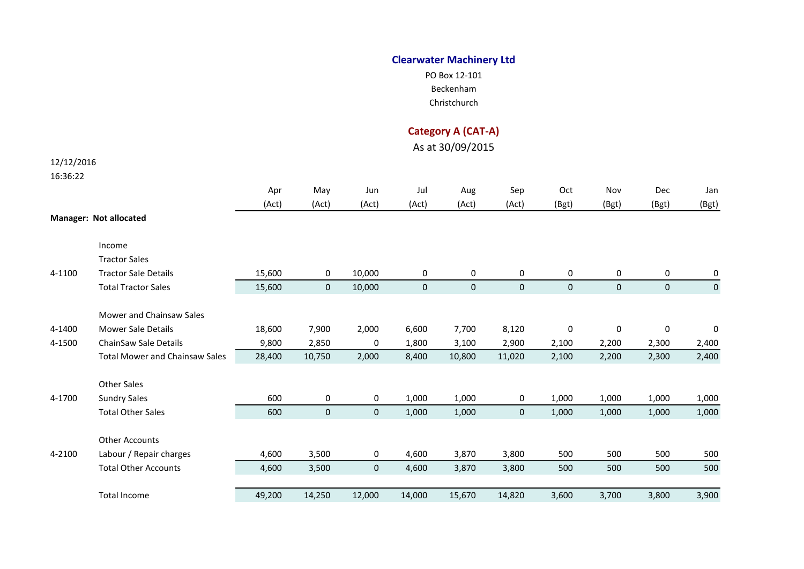## **Clearwater Machinery Ltd**

PO Box 12-101 Beckenham Christchurch

## **Category A (CAT-A)**

As at 30/09/2015

# 12/12/2016

### 16:36:22

|        |                                       | Apr    | May          | Jun                 | Jul         | Aug         | Sep         | Oct         | Nov                 | Dec         | Jan   |
|--------|---------------------------------------|--------|--------------|---------------------|-------------|-------------|-------------|-------------|---------------------|-------------|-------|
|        |                                       | (Act)  | (Act)        | (Act)               | (Act)       | (Act)       | (Act)       | (Bgt)       | (Bgt)               | (Bgt)       | (Bgt) |
|        | <b>Manager: Not allocated</b>         |        |              |                     |             |             |             |             |                     |             |       |
|        |                                       |        |              |                     |             |             |             |             |                     |             |       |
|        | Income                                |        |              |                     |             |             |             |             |                     |             |       |
|        | <b>Tractor Sales</b>                  |        |              |                     |             |             |             |             |                     |             |       |
| 4-1100 | <b>Tractor Sale Details</b>           | 15,600 | 0            | 10,000              | 0           | 0           | 0           | 0           | 0                   | 0           | 0     |
|        | <b>Total Tractor Sales</b>            | 15,600 | $\mathbf{0}$ | 10,000              | $\mathbf 0$ | $\mathbf 0$ | $\mathbf 0$ | $\mathbf 0$ | $\mathbf{0}$        | $\mathbf 0$ | 0     |
|        |                                       |        |              |                     |             |             |             |             |                     |             |       |
|        | <b>Mower and Chainsaw Sales</b>       |        |              |                     |             |             |             |             |                     |             |       |
| 4-1400 | <b>Mower Sale Details</b>             | 18,600 | 7,900        | 2,000               | 6,600       | 7,700       | 8,120       | 0           | $\mathsf{O}\xspace$ | 0           | 0     |
| 4-1500 | <b>ChainSaw Sale Details</b>          | 9,800  | 2,850        | 0                   | 1,800       | 3,100       | 2,900       | 2,100       | 2,200               | 2,300       | 2,400 |
|        | <b>Total Mower and Chainsaw Sales</b> | 28,400 | 10,750       | 2,000               | 8,400       | 10,800      | 11,020      | 2,100       | 2,200               | 2,300       | 2,400 |
|        |                                       |        |              |                     |             |             |             |             |                     |             |       |
|        | <b>Other Sales</b>                    |        |              |                     |             |             |             |             |                     |             |       |
| 4-1700 | <b>Sundry Sales</b>                   | 600    | 0            | 0                   | 1,000       | 1,000       | 0           | 1,000       | 1,000               | 1,000       | 1,000 |
|        | <b>Total Other Sales</b>              | 600    | 0            | $\mathsf{O}\xspace$ | 1,000       | 1,000       | $\mathbf 0$ | 1,000       | 1,000               | 1,000       | 1,000 |
|        |                                       |        |              |                     |             |             |             |             |                     |             |       |
|        | <b>Other Accounts</b>                 |        |              |                     |             |             |             |             |                     |             |       |
| 4-2100 | Labour / Repair charges               | 4,600  | 3,500        | 0                   | 4,600       | 3,870       | 3,800       | 500         | 500                 | 500         | 500   |
|        | <b>Total Other Accounts</b>           | 4,600  | 3,500        | $\mathsf{O}\xspace$ | 4,600       | 3,870       | 3,800       | 500         | 500                 | 500         | 500   |
|        |                                       |        |              |                     |             |             |             |             |                     |             |       |
|        | <b>Total Income</b>                   | 49,200 | 14,250       | 12,000              | 14,000      | 15,670      | 14,820      | 3,600       | 3,700               | 3,800       | 3,900 |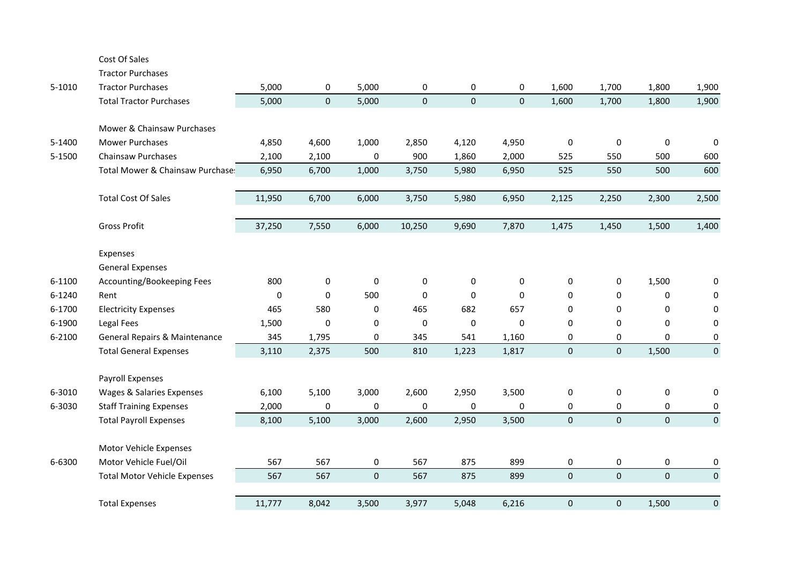#### Cost Of Sales

Tractor Purchases

| 5-1010 | <b>Tractor Purchases</b>            | 5,000    | 0     | 5,000               | 0            | 0         | 0         | 1,600               | 1,700       | 1,800       | 1,900            |
|--------|-------------------------------------|----------|-------|---------------------|--------------|-----------|-----------|---------------------|-------------|-------------|------------------|
|        | <b>Total Tractor Purchases</b>      | 5,000    | 0     | 5,000               | $\mathbf 0$  | $\pmb{0}$ | $\pmb{0}$ | 1,600               | 1,700       | 1,800       | 1,900            |
|        |                                     |          |       |                     |              |           |           |                     |             |             |                  |
|        | Mower & Chainsaw Purchases          |          |       |                     |              |           |           |                     |             |             |                  |
| 5-1400 | <b>Mower Purchases</b>              | 4,850    | 4,600 | 1,000               | 2,850        | 4,120     | 4,950     | $\mathbf 0$         | $\pmb{0}$   | $\mathbf 0$ | $\Omega$         |
| 5-1500 | Chainsaw Purchases                  | 2,100    | 2,100 | $\pmb{0}$           | 900          | 1,860     | 2,000     | 525                 | 550         | 500         | 600              |
|        | Total Mower & Chainsaw Purchase:    | 6,950    | 6,700 | 1,000               | 3,750        | 5,980     | 6,950     | 525                 | 550         | 500         | 600              |
|        |                                     |          |       |                     |              |           |           |                     |             |             |                  |
|        | <b>Total Cost Of Sales</b>          | 11,950   | 6,700 | 6,000               | 3,750        | 5,980     | 6,950     | 2,125               | 2,250       | 2,300       | 2,500            |
|        |                                     |          |       |                     |              |           |           |                     |             |             |                  |
|        | <b>Gross Profit</b>                 | 37,250   | 7,550 | 6,000               | 10,250       | 9,690     | 7,870     | 1,475               | 1,450       | 1,500       | 1,400            |
|        |                                     |          |       |                     |              |           |           |                     |             |             |                  |
|        | Expenses                            |          |       |                     |              |           |           |                     |             |             |                  |
|        | <b>General Expenses</b>             |          |       |                     |              |           |           |                     |             |             |                  |
| 6-1100 | Accounting/Bookeeping Fees          | 800      | 0     | 0                   | $\mathbf{0}$ | 0         | 0         | 0                   | 0           | 1,500       | 0                |
| 6-1240 | Rent                                | $\Omega$ | 0     | 500                 | $\Omega$     | 0         | 0         | 0                   | 0           | 0           | 0                |
| 6-1700 | <b>Electricity Expenses</b>         | 465      | 580   | 0                   | 465          | 682       | 657       | 0                   | $\mathbf 0$ | 0           | $\mathbf 0$      |
| 6-1900 | Legal Fees                          | 1,500    | 0     | 0                   | 0            | 0         | 0         | 0                   | 0           | 0           | 0                |
| 6-2100 | General Repairs & Maintenance       | 345      | 1,795 | 0                   | 345          | 541       | 1,160     | 0                   | 0           | $\Omega$    | 0                |
|        | <b>Total General Expenses</b>       | 3,110    | 2,375 | 500                 | 810          | 1,223     | 1,817     | $\mathsf{O}\xspace$ | $\pmb{0}$   | 1,500       | $\mathbf 0$      |
|        |                                     |          |       |                     |              |           |           |                     |             |             |                  |
|        | Payroll Expenses                    |          |       |                     |              |           |           |                     |             |             |                  |
| 6-3010 | Wages & Salaries Expenses           | 6,100    | 5,100 | 3,000               | 2,600        | 2,950     | 3,500     | 0                   | 0           | $\pmb{0}$   | $\boldsymbol{0}$ |
| 6-3030 | <b>Staff Training Expenses</b>      | 2,000    | 0     | 0                   | 0            | 0         | 0         | 0                   | 0           | 0           | 0                |
|        | <b>Total Payroll Expenses</b>       | 8,100    | 5,100 | 3,000               | 2,600        | 2,950     | 3,500     | $\mathbf 0$         | $\mathbf 0$ | $\mathbf 0$ | $\mathbf 0$      |
|        |                                     |          |       |                     |              |           |           |                     |             |             |                  |
|        | Motor Vehicle Expenses              |          |       |                     |              |           |           |                     |             |             |                  |
| 6-6300 | Motor Vehicle Fuel/Oil              | 567      | 567   | $\mathsf{O}\xspace$ | 567          | 875       | 899       | 0                   | $\mathbf 0$ | 0           | $\boldsymbol{0}$ |
|        | <b>Total Motor Vehicle Expenses</b> | 567      | 567   | $\mathbf 0$         | 567          | 875       | 899       | $\mathbf 0$         | $\mathbf 0$ | $\mathbf 0$ | $\mathbf 0$      |
|        |                                     |          |       |                     |              |           |           |                     |             |             |                  |
|        | <b>Total Expenses</b>               | 11,777   | 8,042 | 3,500               | 3,977        | 5,048     | 6,216     | $\mathbf 0$         | $\pmb{0}$   | 1,500       | $\mathbf 0$      |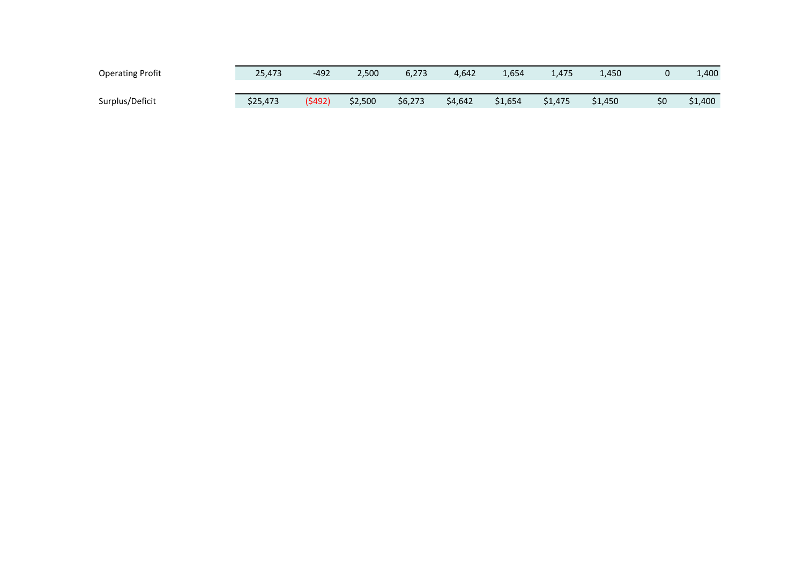| <b>Operating Profit</b> | 25,473   | $-492$  | 2,500   | 6,273   | 4,642   | 1,654   | 1,475   | 1,450   |     | 1,400   |
|-------------------------|----------|---------|---------|---------|---------|---------|---------|---------|-----|---------|
|                         |          |         |         |         |         |         |         |         |     |         |
| Surplus/Deficit         | \$25,473 | (\$492) | \$2,500 | \$6,273 | \$4,642 | \$1,654 | \$1,475 | \$1,450 | \$0 | \$1,400 |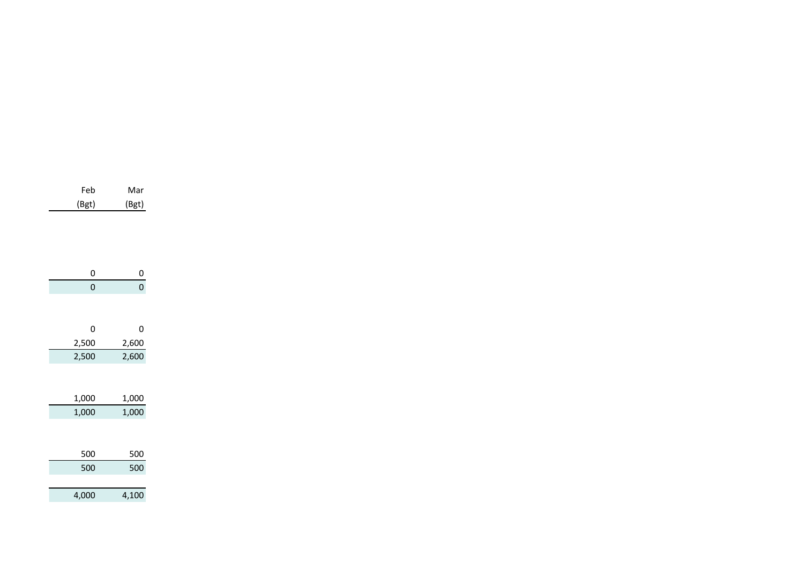| 0     | 0     |
|-------|-------|
| 0     | 0     |
|       |       |
| 0     | 0     |
| 2,500 | 2,600 |
| 2,500 | 2,600 |
|       |       |
| 1,000 | 1,000 |
| 1,000 | 1,000 |
|       |       |
| 500   | 500   |
| 500   | 500   |
|       |       |
| 4,000 | 4,100 |

Feb Mar (Bgt) (Bgt)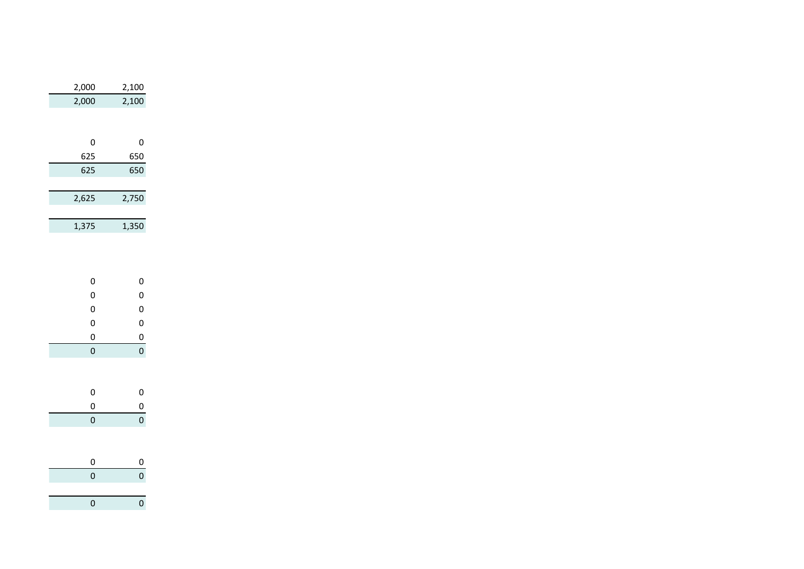| 2,000          | 2,100          |
|----------------|----------------|
| 2,000          | 2,100          |
|                |                |
| 0              | 0              |
| 625            | 650            |
| 625            | 650            |
|                |                |
| 2,625          | 2,750          |
|                |                |
| 1,375          | 1,350          |
|                |                |
| 0              | 0              |
| $\mathbf{O}$   | $\mathbf{0}$   |
| $\mathbf{O}$   | 0<br>0         |
| 0              |                |
| $\mathbf{0}$   | $\overline{0}$ |
| 0              | $\mathbf{0}$   |
|                |                |
| 0              | 0              |
| $\mathbf{0}$   | $\overline{0}$ |
| $\overline{0}$ | $\mathbf{O}$   |
|                |                |
| 0              | 0              |
| $\overline{0}$ | $\overline{0}$ |
|                |                |
| $\mathbf{O}$   | $\mathbf{o}$   |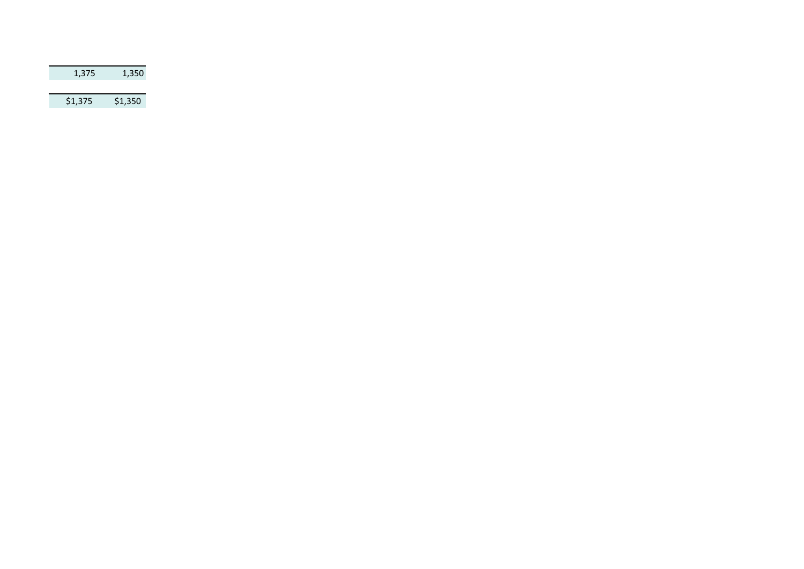| 1,375   | 1,350   |
|---------|---------|
|         |         |
| \$1,375 | \$1,350 |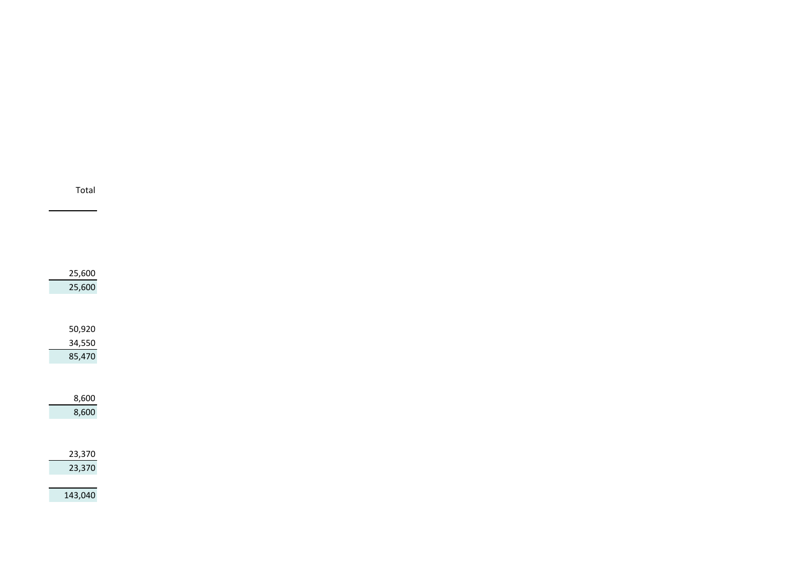| 25,600<br>25,600 |  |
|------------------|--|
|                  |  |
| 50,920           |  |
| 34,550           |  |
| 85,470           |  |
| 8,600            |  |
| 8,600            |  |
|                  |  |
| 23,370           |  |
| 23,370           |  |
|                  |  |

Total

143,040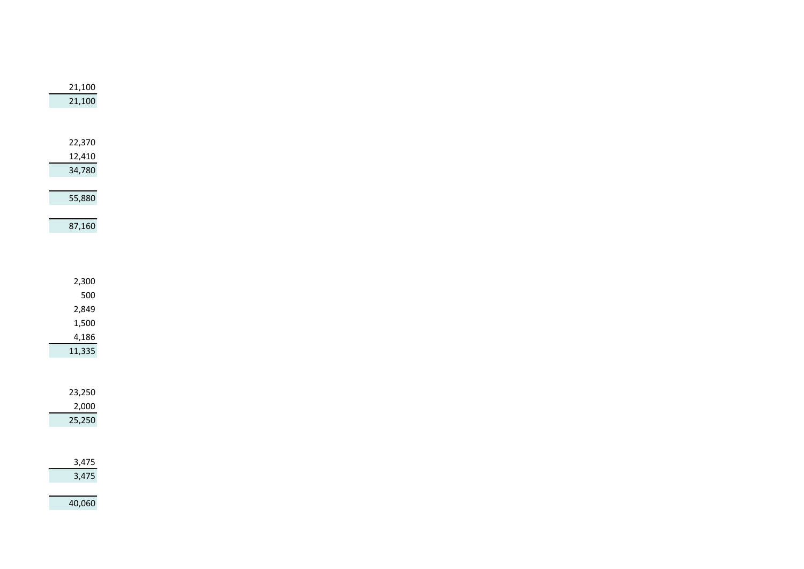| 21,100 |                       |
|--------|-----------------------|
|        |                       |
|        | 21,100                |
|        |                       |
|        |                       |
|        |                       |
| 22,370 |                       |
|        |                       |
| 12,410 |                       |
| 34,780 |                       |
|        |                       |
|        |                       |
|        | 55,880                |
|        |                       |
|        |                       |
|        | 87,160                |
|        |                       |
|        |                       |
|        |                       |
|        |                       |
|        | 2,300                 |
|        | 500                   |
|        |                       |
|        | 2,849                 |
|        | 1,500                 |
|        |                       |
|        | 4,186                 |
|        | 11,335                |
|        |                       |
|        |                       |
|        |                       |
| 23,250 |                       |
|        |                       |
|        | 2,000                 |
|        | 25,250                |
|        |                       |
|        |                       |
|        |                       |
|        | $\frac{3,475}{3,475}$ |
|        |                       |
|        |                       |
|        |                       |
|        | 40,060                |